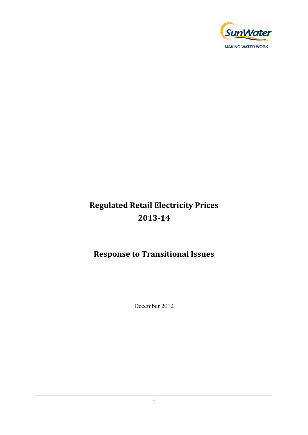

# Regulated Retail Electricity Prices 2013-14

## Response to Transitional Issues

December 2012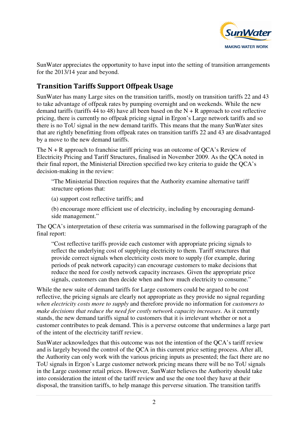

SunWater appreciates the opportunity to have input into the setting of transition arrangements for the 2013/14 year and beyond.

### Transition Tariffs Support Offpeak Usage

SunWater has many Large sites on the transition tariffs, mostly on transition tariffs 22 and 43 to take advantage of offpeak rates by pumping overnight and on weekends. While the new demand tariffs (tariffs  $44$  to  $48$ ) have all been based on the N + R approach to cost reflective pricing, there is currently no offpeak pricing signal in Ergon's Large network tariffs and so there is no ToU signal in the new demand tariffs. This means that the many SunWater sites that are rightly benefitting from offpeak rates on transition tariffs 22 and 43 are disadvantaged by a move to the new demand tariffs.

The  $N + R$  approach to franchise tariff pricing was an outcome of OCA's Review of Electricity Pricing and Tariff Structures, finalised in November 2009. As the QCA noted in their final report, the Ministerial Direction specified two key criteria to guide the QCA's decision-making in the review:

"The Ministerial Direction requires that the Authority examine alternative tariff structure options that:

(a) support cost reflective tariffs; and

(b) encourage more efficient use of electricity, including by encouraging demandside management."

The QCA's interpretation of these criteria was summarised in the following paragraph of the final report:

"Cost reflective tariffs provide each customer with appropriate pricing signals to reflect the underlying cost of supplying electricity to them. Tariff structures that provide correct signals when electricity costs more to supply (for example, during periods of peak network capacity) can encourage customers to make decisions that reduce the need for costly network capacity increases. Given the appropriate price signals, customers can then decide when and how much electricity to consume."

While the new suite of demand tariffs for Large customers could be argued to be cost reflective, the pricing signals are clearly not appropriate as they provide no signal regarding *when electricity costs more to supply* and therefore provide no information for *customers to make decisions that reduce the need for costly network capacity increases*. As it currently stands, the new demand tariffs signal to customers that it is irrelevant whether or not a customer contributes to peak demand. This is a perverse outcome that undermines a large part of the intent of the electricity tariff review.

SunWater acknowledges that this outcome was not the intention of the QCA's tariff review and is largely beyond the control of the QCA in this current price setting process. After all, the Authority can only work with the various pricing inputs as presented; the fact there are no ToU signals in Ergon's Large customer network pricing means there will be no ToU signals in the Large customer retail prices. However, SunWater believes the Authority should take into consideration the intent of the tariff review and use the one tool they have at their disposal, the transition tariffs, to help manage this perverse situation. The transition tariffs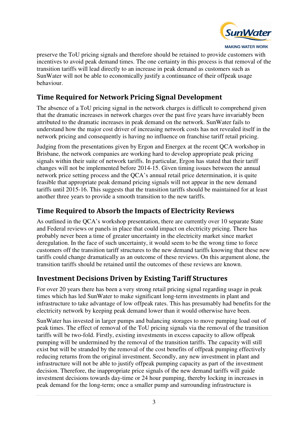

**MAKING WATER WORK** 

preserve the ToU pricing signals and therefore should be retained to provide customers with incentives to avoid peak demand times. The one certainty in this process is that removal of the transition tariffs will lead directly to an increase in peak demand as customers such as SunWater will not be able to economically justify a continuance of their offpeak usage behaviour.

### Time Required for Network Pricing Signal Development

The absence of a ToU pricing signal in the network charges is difficult to comprehend given that the dramatic increases in network charges over the past five years have invariably been attributed to the dramatic increases in peak demand on the network. SunWater fails to understand how the major cost driver of increasing network costs has not revealed itself in the network pricing and consequently is having no influence on franchise tariff retail pricing.

Judging from the presentations given by Ergon and Energex at the recent QCA workshop in Brisbane, the network companies are working hard to develop appropriate peak pricing signals within their suite of network tariffs. In particular, Ergon has stated that their tariff changes will not be implemented before 2014-15. Given timing issues between the annual network price setting process and the QCA's annual retail price determination, it is quite feasible that appropriate peak demand pricing signals will not appear in the new demand tariffs until 2015-16. This suggests that the transition tariffs should be maintained for at least another three years to provide a smooth transition to the new tariffs.

### Time Required to Absorb the Impacts of Electricity Reviews

As outlined in the QCA's workshop presentation, there are currently over 10 separate State and Federal reviews or panels in place that could impact on electricity pricing. There has probably never been a time of greater uncertainty in the electricity market since market deregulation. In the face of such uncertainty, it would seem to be the wrong time to force customers off the transition tariff structures to the new demand tariffs knowing that these new tariffs could change dramatically as an outcome of these reviews. On this argument alone, the transition tariffs should be retained until the outcomes of these reviews are known.

### Investment Decisions Driven by Existing Tariff Structures

For over 20 years there has been a very strong retail pricing signal regarding usage in peak times which has led SunWater to make significant long-term investments in plant and infrastructure to take advantage of low offpeak rates. This has presumably had benefits for the electricity network by keeping peak demand lower than it would otherwise have been.

SunWater has invested in larger pumps and balancing storages to move pumping load out of peak times. The effect of removal of the ToU pricing signals via the removal of the transition tariffs will be two-fold. Firstly, existing investments in excess capacity to allow offpeak pumping will be undermined by the removal of the transition tariffs. The capacity will still exist but will be stranded by the removal of the cost benefits of offpeak pumping effectively reducing returns from the original investment. Secondly, any new investment in plant and infrastructure will not be able to justify offpeak pumping capacity as part of the investment decision. Therefore, the inappropriate price signals of the new demand tariffs will guide investment decisions towards day-time or 24 hour pumping, thereby locking in increases in peak demand for the long-term; once a smaller pump and surrounding infrastructure is